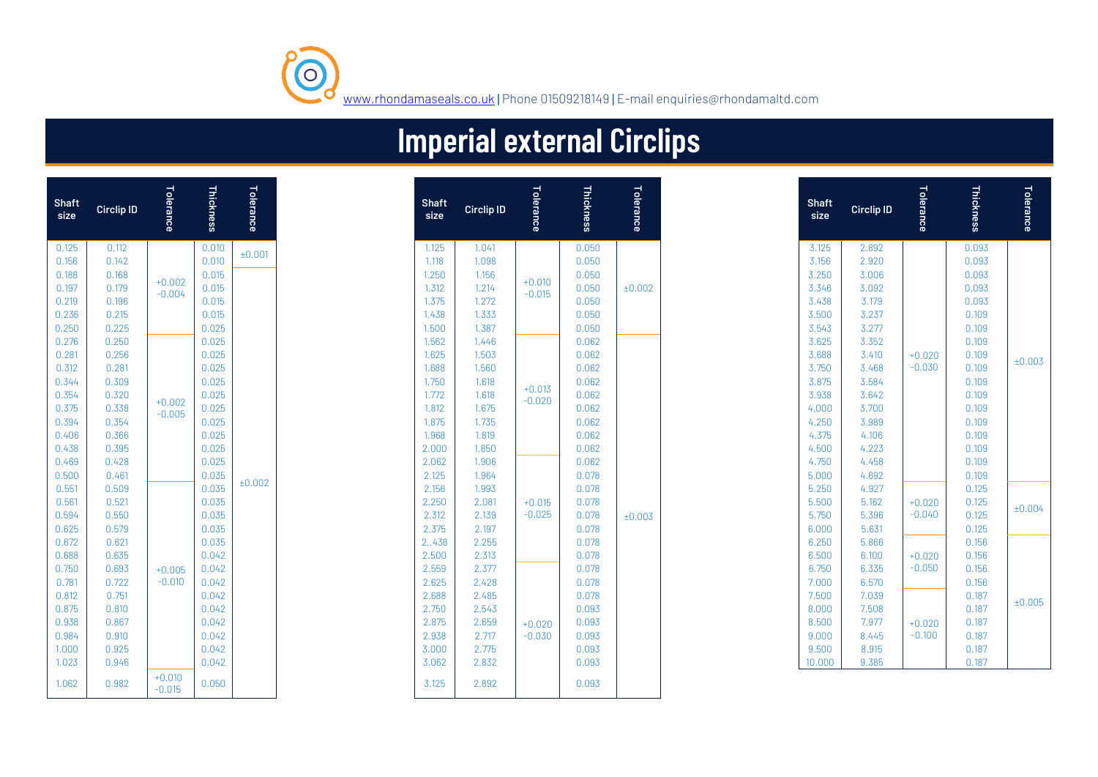

# **Imperial external Circlips**

| Shaft<br>size  | Circlip ID     | Tolerance            | Thickness      | Tolerance | <b>Shaft</b><br>size | <b>Circlip ID</b> | Tolerance | Thickness      | Tolerance | <b>Shaft</b><br>size | <b>Circlip ID</b> | Tolerance | Thickness      |
|----------------|----------------|----------------------|----------------|-----------|----------------------|-------------------|-----------|----------------|-----------|----------------------|-------------------|-----------|----------------|
| 0.125          | 0.112          |                      | 0.010          | ±0.001    | 1.125                | 1.041             |           | 0.050          |           | 3.125                | 2.892             |           | 0.093          |
| 0.156          | 0.142          |                      | 0.010          |           | 1.118                | 1.098             |           | 0.050          |           | 3.156                | 2.920             |           | 0.093          |
| 0.188<br>0.197 | 0.168          | $+0.002$             | 0.015          |           | 1.250                | 1.156             | $+0.010$  | 0.050          |           | 3.250                | 3.006             |           | 0.093          |
| 0.219          | 0.179          | $-0.004$             | 0.015          |           | 1.312                | 1.214             | $-0.015$  | 0.050          | ±0.002    | 3.346                | 3.092             |           | 0.093          |
|                | 0.196<br>0.215 |                      | 0.015<br>0.015 |           | 1.375                | 1.272             |           | 0.050          |           | 3.438                | 3.179             |           | 0.093          |
| 0.236<br>0.250 | 0.225          |                      | 0.025          |           | 1.438<br>1.500       | 1.333<br>1.387    |           | 0.050<br>0.050 |           | 3.500<br>3.543       | 3.237<br>3.277    |           | 0.109<br>0.109 |
|                | 0.250          |                      | 0.025          |           | 1.562                | 1.446             |           | 0.062          |           | 3.625                | 3.352             |           | 0.109          |
| 0.276          | 0.256          |                      | 0.025          |           | 1.625                | 1.503             |           | 0.062          |           | 3.688                | 3.410             | $+0.020$  | 0.109          |
|                | 0.281          |                      | 0.025          |           | 1.688                | 1.560             |           | 0.062          |           | 3.750                | 3.468             | $-0.030$  | 0.109          |
| 0.312<br>0.344 | 0.309          |                      | 0.025          |           | 1.750                | 1.618             |           | 0.062          |           | 3.875                | 3.584             |           | 0.109          |
| 0.354          | 0.320          |                      | 0.025          |           | 1.772                | 1.618             | $+0.013$  | 0.062          |           | 3.938                | 3.642             |           | 0.109          |
|                | 0.338          | $+0.002$             | 0.025          |           | 1.812                | 1.675             | $-0.020$  | 0.062          |           | 4.000                | 3.700             |           | 0.109          |
|                | 0.354          | $-0.005$             | 0.025          |           | 1.875                | 1.735             |           | 0.062          |           | 4.250                | 3.989             |           | 0.109          |
|                | 0.366          |                      | 0.025          |           | 1.968                | 1.819             |           | 0.062          |           | 4.375                | 4.106             |           | 0.109          |
|                | 0.395          |                      | 0.025          |           | 2.000                | 1.850             |           | 0.062          |           | 4.500                | 4.223             |           | 0.109          |
|                | 0.428          |                      | 0.025          |           | 2.062                | 1.906             |           | 0.062          |           | 4.750                | 4.458             |           | 0.109          |
| 0.500          | 0.461          |                      | 0.035          |           | 2.125                | 1.964             |           | 0.078          |           | 5.000                | 4.692             |           | 0.109          |
|                | 0.509          |                      | 0.035          | ±0.002    | 2.156                | 1.993             |           | 0.078          |           | 5.250                | 4.927             |           | 0.125          |
|                | 0.521          |                      | 0.035          |           | 2.250                | 2.081             | $+0.015$  | 0.078          |           | 5.500                | 5.162             | $+0.020$  | 0.125          |
|                | 0.550          |                      | 0.035          |           | 2.312                | 2.139             | $-0.025$  | 0.078          | ±0.003    | 5.750                | 5.396             | $-0.040$  | 0.125          |
|                | 0.579          |                      | 0.035          |           | 2.375                | 2.197             |           | 0.078          |           | 6.000                | 5.631             |           | 0.125          |
| 0.672          | 0.621          |                      | 0.035          |           | 2438                 | 2.255             |           | 0.078          |           | 6.250                | 5.866             |           | 0.156          |
| 0.688          | 0.635          |                      | 0.042          |           | 2.500                | 2.313             |           | 0.078          |           | 6.500                | 6.100             | $+0.020$  | 0.156          |
| 0.750          | 0.693          | $+0.005$             | 0.042          |           | 2.559                | 2.377             |           | 0.078          |           | 6.750                | 6.335             | $-0.050$  | 0.156          |
|                | 0.722          | $-0.010$             | 0.042          |           | 2.625                | 2.428             |           | 0.078          |           | 7.000                | 6.570             |           | 0.156          |
| 0.812<br>0.875 | 0.751          |                      | 0.042          |           | 2.688                | 2.485             |           | 0.078          |           | 7.500                | 7.039             |           | 0.187          |
|                | 0.810          |                      | 0.042          |           | 2.750                | 2.543             |           | 0.093          |           | 8.000                | 7.508             |           | 0.187          |
|                | 0.867          |                      | 0.042          |           | 2.875                | 2.659             | $+0.020$  | 0.093          |           | 8.500                | 7.977             | $+0.020$  | 0.187          |
|                | 0.910          |                      | 0.042          |           | 2.938                | 2.717             | $-0.030$  | 0.093          |           | 9.000                | 8.445             | $-0.100$  | 0.187          |
|                | 0.925          |                      | 0.042          |           | 3.000                | 2.775             |           | 0.093          |           | 9.500                | 8.915             |           | 0.187          |
| 1.023          | 0.946          |                      | 0.042          |           | 3.062                | 2.832             |           | 0.093          |           | 10.000               | 9.385             |           | 0.187          |
| 1.062          | 0.982          | $+0.010$<br>$-0.015$ | 0.050          |           | 3.125                | 2.892             |           | 0.093          |           |                      |                   |           |                |

| Thickness                                                                              | Tolerance | <b>Shaft</b><br>size                                                                   | <b>Circlip ID</b>                                                                      | Tolerance                                    | Thickness                                                                              | Tolerance |
|----------------------------------------------------------------------------------------|-----------|----------------------------------------------------------------------------------------|----------------------------------------------------------------------------------------|----------------------------------------------|----------------------------------------------------------------------------------------|-----------|
| 0.050<br>0.050<br>0.050<br>0.050<br>0.050<br>0.050<br>0.050                            | ±0.002    | 3.125<br>3.156<br>3.250<br>3.346<br>3.438<br>3.500<br>3.543                            | 2.892<br>2.920<br>3.006<br>3.092<br>3.179<br>3.237<br>3.277                            |                                              | 0.093<br>0.093<br>0.093<br>0.093<br>0.093<br>0.109<br>0.109                            |           |
| 0.062<br>0.062<br>0.062<br>0.062<br>0.062<br>0.062<br>0.062<br>0.062<br>0.062<br>0.062 |           | 3.625<br>3.688<br>3.750<br>3.875<br>3.938<br>4.000<br>4.250<br>4.375<br>4.500<br>4.750 | 3.352<br>3.410<br>3.468<br>3.584<br>3.642<br>3.700<br>3.989<br>4.106<br>4.223<br>4.458 | $+0.020$<br>$-0.030$                         | 0.109<br>0.109<br>0.109<br>0.109<br>0.109<br>0.109<br>0.109<br>0.109<br>0.109<br>0.109 | ±0.003    |
| 0.078<br>0.078<br>0.078<br>0.078<br>0.078                                              | ±0.003    | 5.000<br>5.250<br>5.500<br>5.750<br>6.000                                              | 4.692<br>4.927<br>5.162<br>5.396<br>5.631                                              | $+0.020$<br>$-0.040$                         | 0.109<br>0.125<br>0.125<br>0.125<br>0.125                                              | ±0.004    |
| 0.078<br>0.078<br>0.078<br>0.078<br>0.078<br>0.093<br>0.093<br>0.093                   |           | 6.250<br>6.500<br>6.750<br>7.000<br>7.500<br>8.000<br>8.500<br>9.000                   | 5.866<br>6.100<br>6.335<br>6.570<br>7.039<br>7.508<br>7.977<br>8.445                   | $+0.020$<br>$-0.050$<br>$+0.020$<br>$-0.100$ | 0.156<br>0.156<br>0.156<br>0.156<br>0.187<br>0.187<br>0.187<br>0.187                   | ±0.005    |
| 0.093<br>0.093                                                                         |           | 9.500<br>10.000                                                                        | 8.915<br>9.385                                                                         |                                              | 0.187<br>0.187                                                                         |           |

|       | <b>Circlip ID</b> | Tolerance            | Thickness | Tolerance | <b>Shaft</b><br>size | Circlip |
|-------|-------------------|----------------------|-----------|-----------|----------------------|---------|
|       | 0.112             |                      | 0.010     | ±0.001    | 1.125                |         |
|       | 0.142             |                      | 0.010     |           | 1.118                |         |
|       | 0.168             | $+0.002$             | 0.015     |           | 1.250                |         |
|       | 0.179             | $-0.004$             | 0.015     |           | 1.312                |         |
|       | 0.196             |                      | 0.015     |           | 1.375                |         |
| 0.236 | 0.215             |                      | 0.015     |           | 1.438                |         |
| 0.250 | 0.225             |                      | 0.025     |           | 1.500                |         |
| 0.276 | 0.250             |                      | 0.025     |           | 1.562                |         |
| 0.281 | 0.256             |                      | 0.025     |           | 1.625                |         |
|       | 0.281             |                      | 0.025     |           | 1.688                |         |
| 0.344 | 0.309             |                      | 0.025     |           | 1.750                |         |
| 0.354 | 0.320             | $+0.002$             | 0.025     |           | 1.772                |         |
| 0.375 | 0.338             | $-0.005$             | 0.025     |           | 1.812                |         |
| 0.394 | 0.354             |                      | 0.025     |           | 1.875                |         |
| 0.406 | 0.366             |                      | 0.025     |           | 1.968                |         |
| 0.438 | 0.395             |                      | 0.025     |           | 2.000                |         |
| 0.469 | 0.428             |                      | 0.025     |           | 2.062                |         |
| 0.500 | 0.461             |                      | 0.035     | ±0.002    | 2.125                |         |
| 0.551 | 0.509             |                      | 0.035     |           | 2.156                |         |
| 0.561 | 0.521             |                      | 0.035     |           | 2.250                |         |
| 0.594 | 0.550             |                      | 0.035     |           | 2.312                |         |
| 0.625 | 0.579             |                      | 0.035     |           | 2.375                |         |
| 0.672 | 0.621             |                      | 0.035     |           | 2438                 |         |
| 0.688 | 0.635             |                      | 0.042     |           | 2.500                |         |
| 0.750 | 0.693             | $+0.005$             | 0.042     |           | 2.559                |         |
| 0.781 | 0.722             | $-0.010$             | 0.042     |           | 2.625                |         |
| 0.812 | 0.751             |                      | 0.042     |           | 2.688                |         |
| 0.875 | 0.810             |                      | 0.042     |           | 2.750                |         |
| 0.938 | 0.867             |                      | 0.042     |           | 2.875                |         |
| 0.984 | 0.910             |                      | 0.042     |           | 2.938                |         |
| 1.000 | 0.925             |                      | 0.042     |           | 3.000                |         |
| 1.023 | 0.946             |                      | 0.042     |           | 3.062                |         |
| 1.062 | 0.982             | $+0.010$<br>$-0.015$ | 0.050     |           | 3.125                |         |

 $\vec{a}$   $\vec{a}$   $\vec{a}$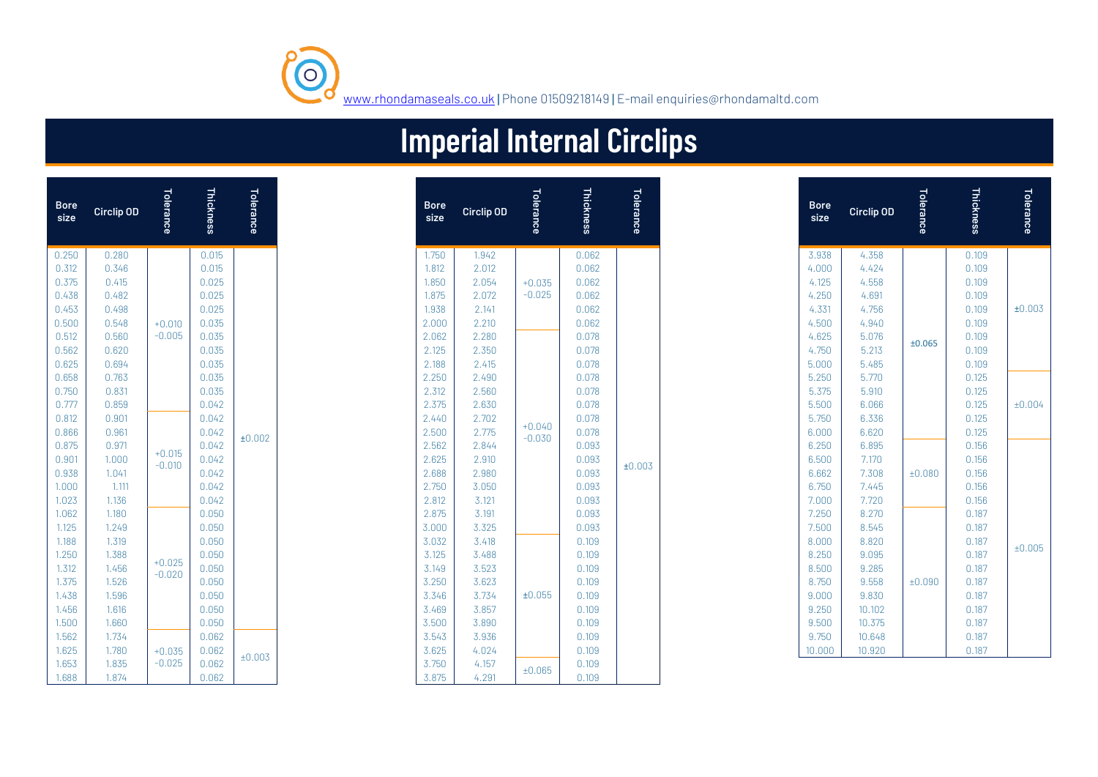

# **Imperial Internal Circlips**

| Circlip OD                             | Tolerance | Thickness | Tolerance | <b>Bore</b><br>size | Circlip OD     | Tolerance            | Thickness      |
|----------------------------------------|-----------|-----------|-----------|---------------------|----------------|----------------------|----------------|
| 0.015<br>0.280                         |           |           |           | 1.750               | 1.942          |                      | 0.062          |
| 0.346<br>0.015                         |           |           |           | 1.812               | 2.012          |                      | 0.062          |
| 0.415<br>0.025<br>0.482<br>0.025       |           |           |           | 1.850<br>1.875      | 2.054<br>2.072 | $+0.035$<br>$-0.025$ | 0.062<br>0.062 |
| 0.498<br>0.025                         |           |           |           | 1.938               | 2.141          |                      | 0.062          |
| 0.548<br>0.035<br>$+0.010$             |           |           |           | 2.000               | 2.210          |                      | 0.062          |
| $-0.005$<br>0.560<br>0.035             |           |           |           | 2.062               | 2.280          |                      | 0.078          |
| 0.620<br>0.035                         |           |           |           | 2.125               | 2.350          |                      | 0.078          |
| 0.694<br>0.035                         |           |           |           | 2.188               | 2.415          |                      | 0.078          |
| 0.763<br>0.035                         |           |           |           | 2.250               | 2.490          |                      | 0.078          |
| 0.035<br>0.831                         |           |           |           | 2.312               | 2.560          |                      | 0.078          |
| 0.042<br>0.859                         |           |           |           | 2.375               | 2.630          |                      | 0.078          |
| 0.901<br>0.042                         |           |           |           | 2.440               | 2.702          |                      | 0.078          |
| 0.042<br>0.961                         |           |           |           | 2.500               | 2.775          | $+0.040$             | 0.078          |
| ±0.002<br>0.971<br>0.042               |           |           |           | 2.562               | 2.844          | $-0.030$             | 0.093          |
| $+0.015$<br>0.042<br>1.000<br>$-0.010$ |           |           |           | 2.625               | 2.910          |                      | 0.093          |
| 1.041<br>0.042                         |           |           |           | 2.688               | 2.980          |                      | 0.093          |
| 1.111<br>0.042                         |           |           |           | 2.750               | 3.050          |                      | 0.093          |
| 1.136<br>0.042                         |           |           |           | 2.812               | 3.121          |                      | 0.093          |
| 0.050<br>1.180                         |           |           |           | 2.875               | 3.191          |                      | 0.093          |
| 0.050<br>1.249                         |           |           |           | 3.000               | 3.325          |                      | 0.093          |
| 1.319<br>0.050                         |           |           |           | 3.032               | 3.418          |                      | 0.109          |
| 0.050<br>1.388<br>$+0.025$             |           |           |           | 3.125               | 3.488          |                      | 0.109          |
| 1.456<br>0.050<br>$-0.020$             |           |           |           | 3.149               | 3.523          |                      | 0.109          |
| 1.526<br>0.050                         |           |           |           | 3.250               | 3.623          | ±0.055               | 0.109          |
| 0.050<br>1.596<br>0.050<br>1.616       |           |           |           | 3.346<br>3.469      | 3.734<br>3.857 |                      | 0.109<br>0.109 |
| 0.050<br>1.660                         |           |           |           | 3.500               | 3.890          |                      | 0.109          |
| 0.062<br>1.734                         |           |           |           | 3.543               | 3.936          |                      | 0.109          |
| 1.780<br>0.062<br>$+0.035$             |           |           |           | 3.625               | 4.024          |                      | 0.109          |
| ±0.003<br>$-0.025$<br>1.835<br>0.062   |           |           |           | 3.750               | 4.157          |                      | 0.109          |
| 1.874<br>0.062                         |           |           |           | 3.875               | 4.291          | ±0.065               | 0.109          |

| <b>Bore</b><br>size | <b>Circlip OD</b> | Tolerance | Thickness                                                   | Tolerance | <b>Bore</b><br>size | <b>Circlip OD</b> | Tolerance | Thickness      | Tolerance                        | <b>Bore</b><br>Circlip OD<br>size | Tolerance |
|---------------------|-------------------|-----------|-------------------------------------------------------------|-----------|---------------------|-------------------|-----------|----------------|----------------------------------|-----------------------------------|-----------|
| 0.250               | 0.280             |           | 0.015                                                       |           | 1.750               | 1.942             |           | 0.062          |                                  | 3.938<br>4.358                    |           |
| 0.312               | 0.346             |           | 0.015                                                       |           | 1.812               | 2.012             |           | 0.062          |                                  | 4.000<br>4.424                    |           |
| 0.375               | 0.415             |           | 0.025                                                       |           | 1.850               | 2.054             | $+0.035$  | 0.062          |                                  | 4.125<br>4.558                    |           |
| 0.438               | 0.482             |           | 0.025                                                       |           | 1.875               | 2.072             | $-0.025$  | 0.062          |                                  | 4.250<br>4.691                    |           |
| 0.453               | 0.498             |           | 0.025                                                       |           | 1.938               | 2.141             |           | 0.062          |                                  | 4.331<br>4.756                    |           |
| 0.500               | 0.548             | $+0.010$  | 0.035                                                       |           | 2.000               | 2.210             |           | 0.062          |                                  | 4.500<br>4.940                    |           |
| 0.512               | 0.560             | $-0.005$  | 0.035                                                       |           | 2.062               | 2.280             |           | 0.078          |                                  | 4.625<br>5.076                    | ±0.065    |
| 0.562               | 0.620             |           | 0.035                                                       |           | 2.125               | 2.350             |           | 0.078          |                                  | 4.750<br>5.213                    |           |
| 0.625               | 0.694             |           | 0.035                                                       |           | 2.188               | 2.415             | 0.078     | 5.000<br>5.485 |                                  |                                   |           |
| 0.658<br>0.750      | 0.763<br>0.831    |           | 0.035                                                       |           | 2.250               | 2.490<br>2.560    | 0.078     |                | 5.250<br>5.770<br>5.375<br>5.910 |                                   |           |
| 0.777               | 0.859             |           | 0.035<br>2.312<br>0.078<br>0.042<br>2.375<br>2.630<br>0.078 |           |                     | 5.500<br>6.066    |           |                |                                  |                                   |           |
| 0.812               | 0.901             |           | 0.042                                                       |           | 2.440               | 2.702             |           | 0.078          |                                  | 5.750<br>6.336                    |           |
| 0.866               | 0.961             |           | 0.042                                                       |           | 2.500               | 2.775             | $+0.040$  | 0.078          |                                  | 6.000<br>6.620                    |           |
| 0.875               | 0.971             |           | 0.042                                                       | ±0.002    | 2.562               | 2.844             | $-0.030$  | 0.093          |                                  | 6.250<br>6.895                    |           |
| 0.901               | 1.000             | $+0.015$  | 0.042                                                       |           | 2.625               | 2.910             |           | 0.093          |                                  | 6.500<br>7.170                    |           |
| 0.938               | 1.041             | $-0.010$  | 0.042                                                       |           | 2.688               | 2.980             |           | 0.093          | ±0.003                           | 6.662<br>7.308                    | ±0.080    |
| 1.000               | 1.111             |           | 0.042                                                       |           | 2.750               | 3.050             |           | 0.093          |                                  | 6.750<br>7.445                    |           |
| 1.023               | 1.136             |           | 0.042                                                       |           | 2.812               | 3.121             |           | 0.093          |                                  | 7.000<br>7.720                    |           |
| 1.062               | 1.180             |           | 0.050                                                       |           | 2.875               | 3.191             |           | 0.093          |                                  | 7.250<br>8.270                    |           |
| 1.125               | 1.249             |           | 0.050                                                       |           | 3.000               | 3.325             |           | 0.093          |                                  | 8.545<br>7.500                    |           |
| 1.188               | 1.319             |           | 0.050                                                       |           | 3.032               | 3.418             |           | 0.109          |                                  | 8.000<br>8.820                    |           |
| 1.250               | 1.388             |           | 0.050                                                       |           | 3.125               | 3.488             |           | 0.109          |                                  | 8.250<br>9.095                    |           |
| 1.312               | 1.456             | $+0.025$  | 0.050                                                       |           | 3.149               | 3.523             |           | 0.109          |                                  | 8.500<br>9.285                    |           |
| 1.375               | 1.526             | $-0.020$  | 0.050                                                       |           | 3.250               | 3.623             |           | 0.109          |                                  | 8.750<br>9.558                    | ±0.090    |
| 1.438               | 1.596             |           | 0.050                                                       |           | 3.346               | 3.734             | ±0.055    | 0.109          |                                  | 9.830<br>9.000                    |           |
| 1.456               | 1.616             |           | 0.050                                                       |           | 3.469               | 3.857             |           | 0.109          |                                  | 9.250<br>10.102                   |           |
| 1.500               | 1.660             |           | 0.050                                                       |           | 3.500               | 3.890             |           | 0.109          |                                  | 9.500<br>10.375                   |           |
| 1.562               | 1.734             |           | 0.062                                                       |           | 3.543               | 3.936             |           | 0.109          |                                  | 9.750<br>10.648                   |           |
| 1.625               | 1.780             | $+0.035$  | 0.062                                                       |           | 3.625               | 4.024             |           | 0.109          |                                  | 10.920<br>10.000                  |           |
| 1.653               | 1.835             | $-0.025$  | 0.062                                                       | ±0.003    | 3.750               | 4.157             | ±0.065    | 0.109          |                                  |                                   |           |
| 1.688               | 1.874             |           | 0.062                                                       |           | 3.875               | 4.291             |           | 0.109          |                                  |                                   |           |

| Tolerance |  | <b>Bore</b><br>size | Circlip OD | Tolerance | Thickness | Tolerance |
|-----------|--|---------------------|------------|-----------|-----------|-----------|
|           |  | 3.938               | 4.358      |           | 0.109     |           |
|           |  | 4.000               | 4.424      |           | 0.109     |           |
|           |  | 4.125               | 4.558      |           | 0.109     |           |
|           |  | 4.250               | 4.691      |           | 0.109     |           |
|           |  | 4.331               | 4.756      |           | 0.109     | ±0.003    |
|           |  | 4.500               | 4.940      |           | 0.109     |           |
|           |  | 4.625               | 5.076      | ±0.065    | 0.109     |           |
|           |  | 4.750               | 5.213      |           | 0.109     |           |
|           |  | 5.000               | 5.485      |           | 0.109     |           |
|           |  | 5.250               | 5.770      |           | 0.125     |           |
|           |  | 5.375               | 5.910      |           | 0.125     |           |
|           |  | 5.500               | 6.066      |           | 0.125     | ±0.004    |
|           |  | 5.750               | 6.336      |           | 0.125     |           |
|           |  | 6.000               | 6.620      |           | 0.125     |           |
|           |  | 6.250               | 6.895      |           | 0.156     |           |
| ±0.003    |  | 6.500               | 7.170      |           | 0.156     |           |
|           |  | 6.662               | 7.308      | ±0.080    | 0.156     |           |
|           |  | 6.750               | 7.445      |           | 0.156     |           |
|           |  | 7.000               | 7.720      |           | 0.156     |           |
|           |  | 7.250               | 8.270      |           | 0.187     |           |
|           |  | 7.500               | 8.545      |           | 0.187     |           |
|           |  | 8.000               | 8.820      |           | 0.187     | ±0.005    |
|           |  | 8.250               | 9.095      |           | 0.187     |           |
|           |  | 8.500               | 9.285      |           | 0.187     |           |
|           |  | 8.750               | 9.558      | ±0.090    | 0.187     |           |
|           |  | 9.000               | 9.830      |           | 0.187     |           |
|           |  | 9.250               | 10.102     |           | 0.187     |           |
|           |  | 9.500               | 10.375     |           | 0.187     |           |
|           |  | 9.750               | 10.648     |           | 0.187     |           |
|           |  | 10.000              | 10.920     |           | 0.187     |           |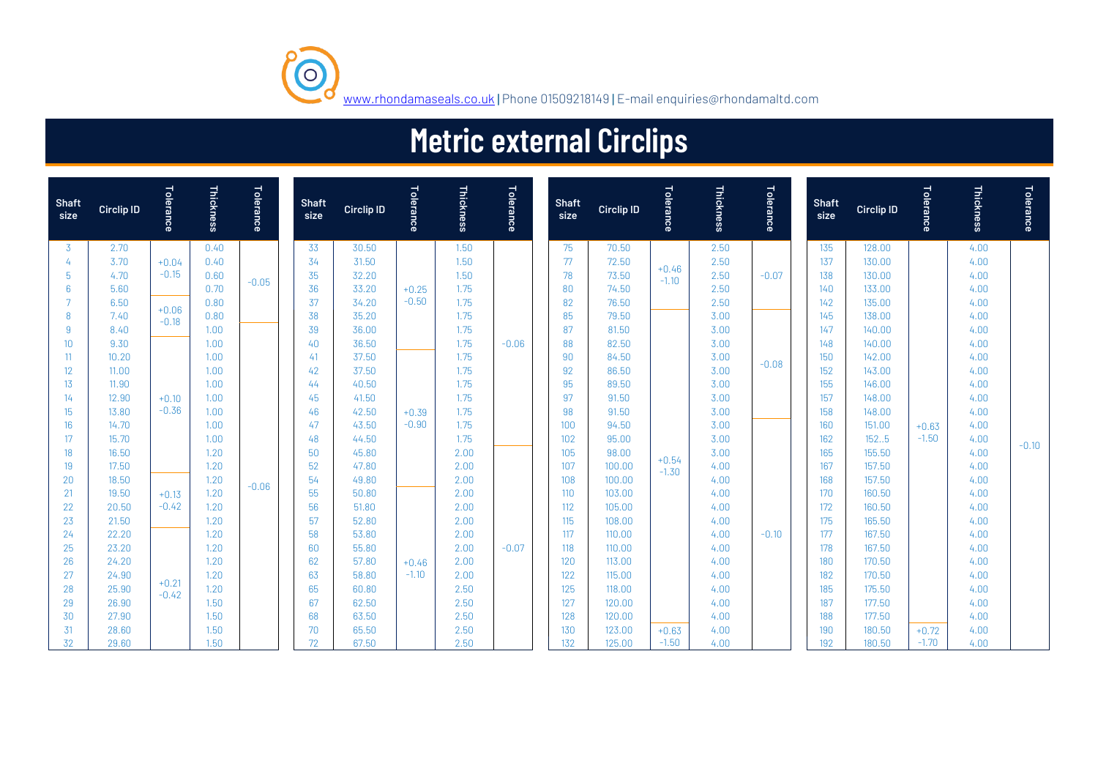

# **Metric external Circlips**

| <b>Shaft</b><br>size  | <b>Circlip ID</b> | Tolerance | Thickness         | Tolerance | <b>Shaft</b><br>size | <b>Circlip ID</b> | <b>Tolerance</b> | Thickness    | Tolerance | <b>Shaft</b><br>size | <b>Circlip ID</b> | Tolerance | Thickness    | Tolerance | <b>Shaft</b><br>size | <b>Circlip ID</b> | Tolerance | Thickness    | Tolerance |
|-----------------------|-------------------|-----------|-------------------|-----------|----------------------|-------------------|------------------|--------------|-----------|----------------------|-------------------|-----------|--------------|-----------|----------------------|-------------------|-----------|--------------|-----------|
| $\overline{3}$        | 2.70              |           | 0.40              |           | 33                   | 30.50             |                  | 1.50         |           | 75                   | 70.50             |           | 2.50         |           | 135                  | 128.00            |           | 4.00         |           |
| 4                     | 3.70              | $+0.04$   | 0.40              |           | 34                   | 31.50             |                  | 1.50         |           | 77                   | 72.50             | $+0.46$   | 2.50         |           | 137                  | 130.00            |           | 4.00         |           |
| 5                     | 4.70              | $-0.15$   | 0.60              | $-0.05$   | 35                   | 32.20             |                  | 1.50         |           | 78                   | 73.50             | $-1.10$   | 2.50         | $-0.07$   | 138                  | 130.00            |           | 4.00         |           |
| $6^{\circ}$           | 5.60              |           | 0.70              |           | 36                   | 33.20             | $+0.25$          | 1.75         |           | 80                   | 74.50             |           | 2.50         |           | 140                  | 133.00            |           | 4.00         |           |
|                       | 6.50              | $+0.06$   | 0.80              |           | 37                   | 34.20             | $-0.50$          | 1.75         |           | 82                   | 76.50             |           | 2.50         |           | 142                  | 135.00            |           | 4.00         |           |
| 8                     | 7.40              | $-0.18$   | 0.80              |           | 38                   | 35.20             |                  | 1.75         |           | 85                   | 79.50             |           | 3.00         |           | 145                  | 138.00            |           | 4.00         |           |
| 9<br>10 <sup>10</sup> | 8.40<br>9.30      |           | 1.00<br>1.00      |           | 39<br>40             | 36.00<br>36.50    |                  | 1.75<br>1.75 | $-0.06$   | 87<br>88             | 81.50<br>82.50    |           | 3.00<br>3.00 |           | 147<br>148           | 140.00<br>140.00  |           | 4.00<br>4.00 |           |
| 11                    | 10.20             |           | 1.00              |           | 41                   | 37.50             |                  | 1.75         |           | 90                   | 84.50             |           | 3.00         |           | 150                  | 142.00            |           | 4.00         |           |
| 12                    | 11.00             |           | 1.00              |           | 42                   | 37.50             |                  | 1.75         |           | 92                   | 86.50             |           | 3.00         | $-0.08$   | 152                  | 143.00            |           | 4.00         |           |
| 13                    | 11.90             |           | 1.00              |           | 44                   | 40.50             |                  | 1.75         |           | 95                   | 89.50             |           | 3.00         |           | 155                  | 146.00            |           | 4.00         |           |
| 14                    | 12.90             | $+0.10$   | 1.00              |           | 45                   | 41.50             |                  | 1.75         |           | 97                   | 91.50             |           | 3.00         |           | 157                  | 148.00            |           | 4.00         |           |
| 15                    | 13.80             | $-0.36$   | 1.00 <sub>1</sub> |           | 46                   | 42.50             | $+0.39$          | 1.75         |           | -98                  | 91.50             |           | 3.00         |           | 158                  | 148.00            |           | 4.00         |           |
| 16                    | 14.70             |           | 1.00              |           | 47                   | 43.50             | $-0.90$          | 1.75         |           | 100                  | 94.50             | $+0.54$   | 3.00         |           | 160                  | 151.00            | $+0.63$   | 4.00         |           |
| 17                    | 15.70             |           | 1.00              |           | 48                   | 44.50             |                  | 1.75         |           | 102                  | 95.00             |           | 3.00         |           | 162                  | 152.5             | $-1.50$   | 4.00         | $-0.10$   |
| 18                    | 16.50             |           | 1.20              |           | 50                   | 45.80             |                  | 2.00         |           | 105                  | 98.00             |           | 3.00         |           | 165                  | 155.50            |           | 4.00         |           |
| 19                    | 17.50             |           | 1.20              |           | 52                   | 47.80             |                  | 2.00         |           | 107                  | 100.00            | $-1.30$   | 4.00         |           | 167                  | 157.50            |           | 4.00         |           |
| 20                    | 18.50             |           | 1.20              | $-0.06$   | 54                   | 49.80             |                  | 2.00         |           | 108                  | 100.00            |           | 4.00         |           | 168                  | 157.50            |           | 4.00         |           |
| 21                    | 19.50             | $+0.13$   | 1.20              |           | 55                   | 50.80             |                  | 2.00         |           | 110                  | 103.00            |           | 4.00         |           | 170                  | 160.50            |           | 4.00         |           |
| 22                    | 20.50             | $-0.42$   | 1.20              |           | 56                   | 51.80             |                  | 2.00         |           | 112                  | 105.00            |           | 4.00         |           | 172                  | 160.50            |           | 4.00         |           |
| 23                    | 21.50             |           | 1.20              |           | 57                   | 52.80             |                  | 2.00         |           | 115                  | 108.00            |           | 4.00         |           | 175                  | 165.50            |           | 4.00         |           |
| 24                    | 22.20             |           | 1.20<br>1.20      |           | 58<br>60             | 53.80<br>55.80    |                  | 2.00<br>2.00 | $-0.07$   | 117<br>118           | 110.00            |           | 4.00         | $-0.10$   | 177<br>178           | 167.50<br>167.50  |           | 4.00         |           |
| 25<br>26              | 23.20<br>24.20    |           | 1.20              |           | 62                   | 57.80             | $+0.46$          | 2.00         |           | 120                  | 110.00<br>113.00  |           | 4.00<br>4.00 |           | 180                  | 170.50            |           | 4.00<br>4.00 |           |
| 27                    | 24.90             |           | 1.20              |           | 63                   | 58.80             | $-1.10$          | 2.00         |           | 122                  | 115.00            |           | 4.00         |           | 182                  | 170.50            |           | 4.00         |           |
| 28                    | 25.90             | $+0.21$   |                   |           | 65                   | 60.80             |                  | 2.50         |           | 125                  | 118.00            |           | 4.00         |           | 185                  | 175.50            |           | 4.00         |           |
| 29                    | 26.90             | $-0.42$   | 1.20<br>1.50      |           | 67                   | 62.50             |                  | 2.50         |           | 127                  | 120.00            |           | 4.00         |           | 187                  | 177.50            |           | 4.00         |           |
| 30                    | 27.90             |           | 1.50              |           | 68                   | 63.50             |                  | 2.50         |           | 128                  | 120.00            |           | 4.00         |           | 188                  | 177.50            |           | 4.00         |           |
| 31                    | 28.60             |           | 1.50              |           | 70                   | 65.50             |                  | 2.50         |           | 130                  | 123.00            | $+0.63$   | 4.00         |           | 190                  | 180.50            | $+0.72$   | 4.00         |           |
| 32                    | 29.60             |           | 1.50              |           | 72                   | 67.50             |                  | 2.50         |           | 132                  | 125.00            | $-1.50$   | 4.00         |           | 192                  | 180.50            | $-1.70$   | 4.00         |           |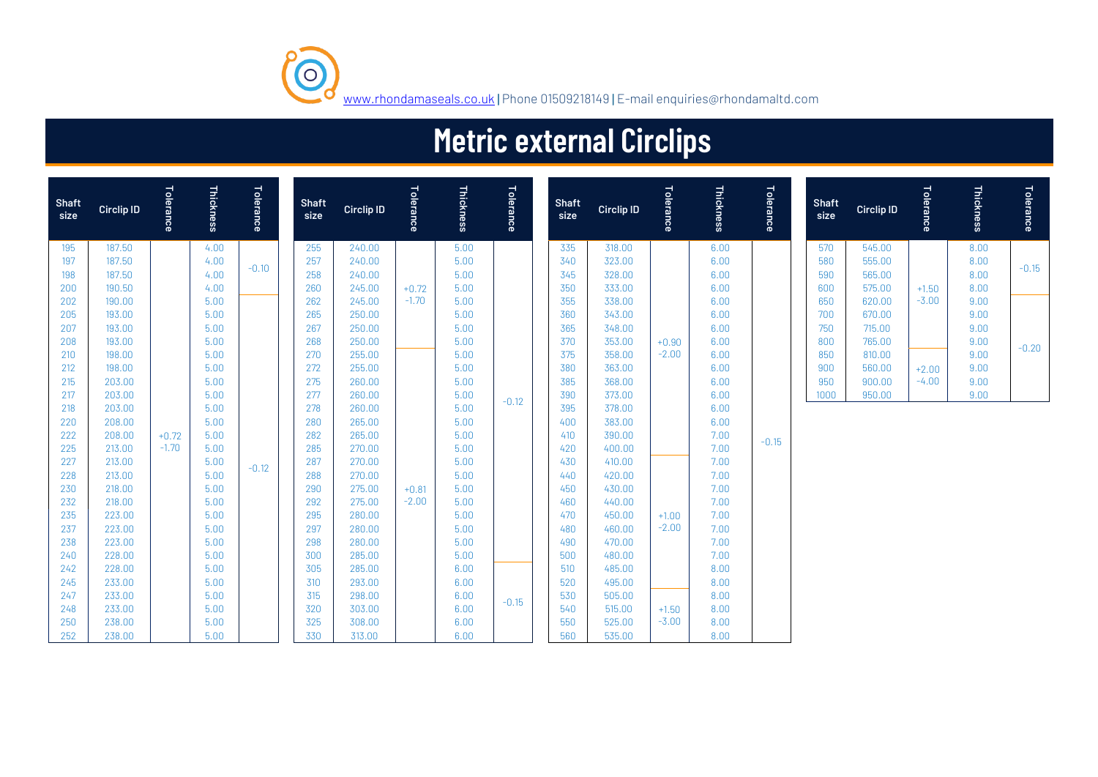

### **Metric external Circlips**

| <b>Shaft</b><br>size | <b>Circlip ID</b> | Tolerance          | Thickness    | Tolerance | <b>Shaft</b><br>size | <b>Circlip ID</b> | Tolerance | Thickness    | <b>Tolerance</b> | <b>Shaft</b><br>size | <b>Circlip ID</b> | Tolerance          | Thickness    | Tolerance | <b>Shaft</b><br>size | <b>Circlip ID</b> | Tolerance | Thickness    | Tolerance |
|----------------------|-------------------|--------------------|--------------|-----------|----------------------|-------------------|-----------|--------------|------------------|----------------------|-------------------|--------------------|--------------|-----------|----------------------|-------------------|-----------|--------------|-----------|
| 195                  | 187.50            |                    | 4.00         |           | 255                  | 240.00            |           | 5.00         |                  | 335                  | 318.00            |                    | 6.00         |           | 570                  | 545.00            |           | 8.00         |           |
| 197<br>198           | 187.50<br>187.50  |                    | 4.00<br>4.00 | $-0.10$   | 257<br>258           | 240.00<br>240.00  |           | 5.00<br>5.00 |                  | 340<br>345           | 323.00<br>328.00  |                    | 6.00<br>6.00 |           | 580<br>590           | 555.00<br>565.00  |           | 8.00<br>8.00 | $-0.15$   |
| 200                  | 190.50            |                    | 4.00         |           | 260                  | 245.00            | $+0.72$   | 5.00         |                  | 350                  | 333.00            |                    | 6.00         |           | 600                  | 575.00            | $+1.50$   | 8.00         |           |
| 202                  | 190.00            |                    | 5.00         |           | 262                  | 245.00            | $-1.70$   | 5.00         |                  | 355                  | 338.00            |                    | 6.00         |           | 650                  | 620.00            | $-3.00$   | 9.00         |           |
| 205                  | 193.00            |                    | 5.00         |           | 265                  | 250.00            |           | 5.00         |                  | 360                  | 343.00            |                    | 6.00         |           | 700                  | 670.00            |           | 9.00         |           |
| 207                  | 193.00            |                    | 5.00         |           | 267                  | 250.00            |           | 5.00         |                  | 365                  | 348.00            |                    | 6.00         |           | 750                  | 715.00            |           | 9.00         |           |
| 208                  | 193.00            |                    | 5.00         |           | 268                  | 250.00            |           | 5.00         |                  | 370                  | 353.00            | $+0.90$            | 6.00         |           | 800                  | 765.00            |           | 9.00         |           |
| 210                  | 198.00            |                    | 5.00         |           | 270                  | 255.00            |           | 5.00         |                  | 375                  | 358.00            | $-2.00$            | 6.00         |           | 850                  | 810.00            |           | 9.00         | $-0.20$   |
| 212                  | 198.00            |                    | 5.00         |           | 272                  | 255.00            |           | 5.00         |                  | 380                  | 363.00            |                    | 6.00         |           | 900                  | 560.00            | $+2.00$   | 9.00         |           |
| 215                  | 203.00            |                    | 5.00         |           | 275                  | 260.00            |           | 5.00         |                  | 385                  | 368.00            |                    | 6.00         |           | 950                  | 900.00            | $-4.00$   | 9.00         |           |
| 217                  | 203.00            |                    | 5.00         |           | 277                  | 260.00            |           | 5.00         | $-0.12$          | 390                  | 373.00            |                    | 6.00         |           | 1000                 | 950.00            |           | 9.00         |           |
| 218                  | 203.00            |                    | 5.00         |           | 278                  | 260.00            |           | 5.00         |                  | 395                  | 378.00            |                    | 6.00         |           |                      |                   |           |              |           |
| 220                  | 208.00            |                    | 5.00         |           | 280                  | 265.00            |           | 5.00         |                  | 400                  | 383.00            |                    | 6.00         |           |                      |                   |           |              |           |
| 222<br>225           | 208.00<br>213.00  | $+0.72$<br>$-1.70$ | 5.00<br>5.00 |           | 282<br>285           | 265.00<br>270.00  |           | 5.00<br>5.00 |                  | 410<br>420           | 390.00<br>400.00  |                    | 7.00<br>7.00 | $-0.15$   |                      |                   |           |              |           |
| 227                  | 213.00            |                    | 5.00         |           | 287                  | 270.00            |           | 5.00         |                  | 430                  | 410.00            |                    | 7.00         |           |                      |                   |           |              |           |
| 228                  | 213.00            |                    | 5.00         | $-0.12$   | 288                  | 270.00            |           | 5.00         |                  | 440                  | 420.00            |                    | 7.00         |           |                      |                   |           |              |           |
| 230                  | 218.00            |                    | 5.00         |           | 290                  | 275.00            | $+0.81$   | 5.00         |                  | 450                  | 430.00            |                    | 7.00         |           |                      |                   |           |              |           |
| 232                  | 218.00            |                    | 5.00         |           | 292                  | 275.00            | $-2.00$   | 5.00         |                  | 460                  | 440.00            |                    | 7.00         |           |                      |                   |           |              |           |
| 235                  | 223.00            |                    | 5.00         |           | 295                  | 280.00            |           | 5.00         |                  | 470                  | 450.00            | $+1.00$            | 7.00         |           |                      |                   |           |              |           |
| 237                  | 223.00            |                    | 5.00         |           | 297                  | 280.00            |           | 5.00         |                  | 480                  | 460.00            | $-2.00$            | 7.00         |           |                      |                   |           |              |           |
| 238                  | 223.00            |                    | 5.00         |           | 298                  | 280.00            |           | 5.00         |                  | 490                  | 470.00            |                    | 7.00         |           |                      |                   |           |              |           |
| 240                  | 228.00            |                    | 5.00         |           | 300                  | 285.00            |           | 5.00         |                  | 500                  | 480.00            |                    | 7.00         |           |                      |                   |           |              |           |
| 242                  | 228.00            |                    | 5.00         |           | 305                  | 285.00            |           | 6.00         |                  | 510                  | 485.00            |                    | 8.00         |           |                      |                   |           |              |           |
| 245                  | 233.00            |                    | 5.00         |           | 310                  | 293.00            |           | 6.00         |                  | 520                  | 495.00            |                    | 8.00         |           |                      |                   |           |              |           |
| 247                  | 233.00            |                    | 5.00         |           | 315                  | 298.00            |           | 6.00         | $-0.15$          | 530                  | 505.00            |                    | 8.00         |           |                      |                   |           |              |           |
| 248                  | 233.00            |                    | 5.00         |           | 320                  | 303.00            |           | 6.00         |                  | 540                  | 515.00            | $+1.50$<br>$-3.00$ | 8.00         |           |                      |                   |           |              |           |
| 250                  | 238.00<br>238.00  |                    | 5.00<br>5.00 |           | 325<br>330           | 308.00<br>313.00  |           | 6.00<br>6.00 |                  | 550<br>560           | 525.00<br>535.00  |                    | 8.00<br>8.00 |           |                      |                   |           |              |           |
| 252                  |                   |                    |              |           |                      |                   |           |              |                  |                      |                   |                    |              |           |                      |                   |           |              |           |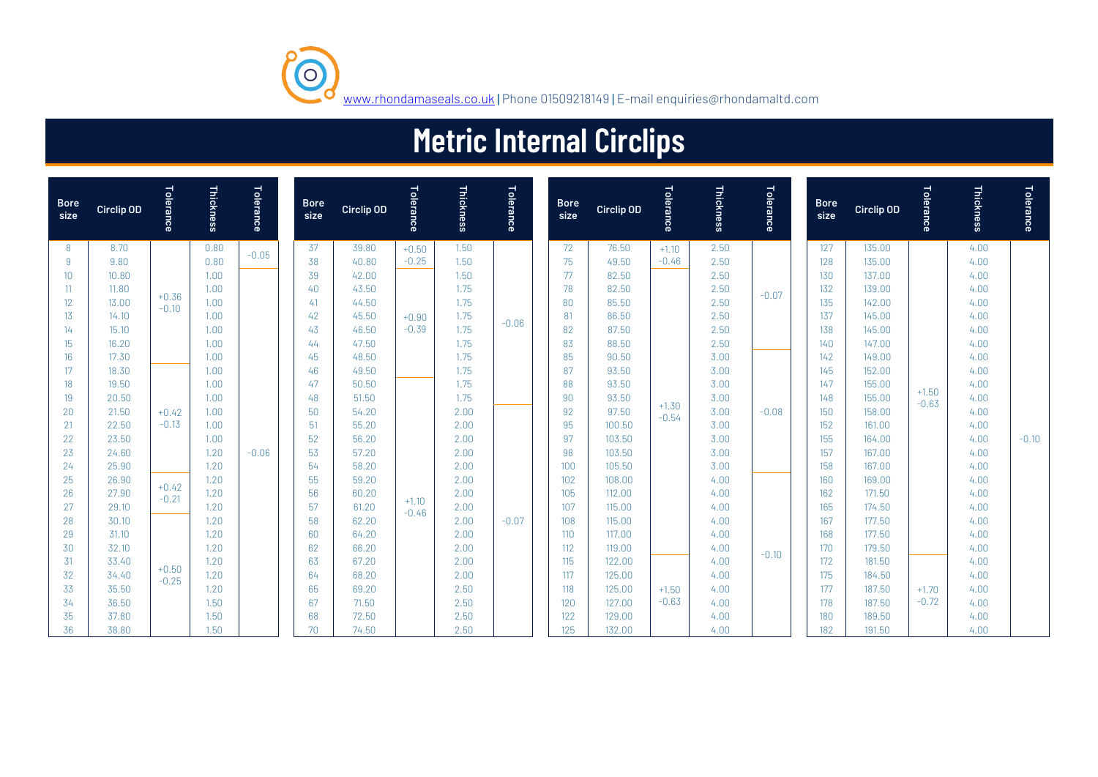

### **Metric Internal Circlips**

| <b>Bore</b><br>size | Circlip OD     | Tolerance                            | Thickness    | Tolerance | <b>Bore</b><br>size | Circlip OD     | Tolerance | Thickness    | Tolerance | <b>Bore</b><br>size | Circlip OD       | <b>Tolerance</b> | Thickness    | Tolerance | <b>Bore</b><br>size | Circlip OD       | Tolerance | Thickness    | Tolerance |
|---------------------|----------------|--------------------------------------|--------------|-----------|---------------------|----------------|-----------|--------------|-----------|---------------------|------------------|------------------|--------------|-----------|---------------------|------------------|-----------|--------------|-----------|
| 8                   | 8.70           |                                      | 0.80         |           | 37                  | 39.80          | $+0.50$   | 1.50         |           | 72                  | 76.50            | $+1.10$          | 2.50         |           | 127                 | 135.00           |           | 4.00         |           |
| 9                   | 9.80           |                                      | 0.80         | $-0.05$   | 38                  | 40.80          | $-0.25$   | 1.50         |           | 75                  | 49.50            | $-0.46$          | 2.50         |           | 128                 | 135.00           |           | 4.00         |           |
| 10 <sup>1</sup>     | 10.80          |                                      | 1.00         |           | 39                  | 42.00          |           | 1.50         |           | 77                  | 82.50            |                  | 2.50         |           | 130                 | 137.00           |           | 4.00         |           |
| 11                  | 11.80          |                                      | 1.00         |           | 40                  | 43.50          |           | 1.75         |           | 78                  | 82.50            |                  | 2.50         | $-0.07$   | 132                 | 139.00           |           | 4.00         |           |
| 12 <sup>°</sup>     | 13.00          | $+0.36$<br>$-0.10$                   | 1.00         |           | 41                  | 44.50          |           | 1.75         |           | 80                  | 85.50            |                  | 2.50         |           | 135                 | 142.00           |           | 4.00         |           |
| 13                  | 14.10          |                                      | 1.00         |           | 42                  | 45.50          | $+0.90$   | 1.75         | $-0.06$   | 81                  | 86.50            |                  | 2.50         |           | 137                 | 145.00           |           | 4.00         |           |
| 14                  | 15.10          |                                      | 1.00         |           | 43                  | 46.50          | $-0.39$   | 1.75         |           | 82                  | 87.50            |                  | 2.50         |           | 138                 | 145.00           |           | 4.00         |           |
| 15                  | 16.20          |                                      | 1.00         |           | 44                  | 47.50          |           | 1.75         |           | 83                  | 88.50            |                  | 2.50         |           | 140                 | 147.00           |           | 4.00         |           |
| 16                  | 17.30          |                                      | 1.00         |           | 45                  | 48.50          |           | 1.75         |           | 85                  | 90.50            |                  | 3.00         |           | 142                 | 149.00           |           | 4.00         |           |
| 17                  | 18.30          |                                      | 1.00         |           | 46                  | 49.50          |           | 1.75         |           | 87                  | 93.50            |                  | 3.00         |           | 145                 | 152.00           |           | 4.00         |           |
| 18                  | 19.50          |                                      | 1.00         |           | 47                  | 50.50          |           | 1.75         |           | 88                  | 93.50            |                  | 3.00         |           | 147                 | 155.00           | $+1.50$   | 4.00         |           |
| 19                  | 20.50          | 1.00<br>1.00                         | 48           | 51.50     |                     | 1.75           |           | 90           | 93.50     | $+1.30$             | 3.00             |                  | 148          | 155.00    | $-0.63$             | 4.00             |           |              |           |
| 20                  | 21.50          | $+0.42$                              |              | 50        | 54.20               |                | 2.00      |              | 92        | 97.50               | $-0.54$          | 3.00             | $-0.08$      | 150       | 158.00              |                  | 4.00      |              |           |
| 21                  | 22.50          | $-0.13$<br>1.00                      | 51           | 55.20     |                     | 2.00           |           | 95           | 100.50    |                     | 3.00             |                  | 152          | 161.00    |                     | 4.00             |           |              |           |
| 22                  | 23.50          |                                      | 1.00         | 52        | 56.20               |                | 2.00      |              | 97        | 103.50              |                  | 3.00             |              | 155       | 164.00              |                  | 4.00      | $-0.10$      |           |
| 23                  | 24.60          |                                      | 1.20         | $-0.06$   | 53                  | 57.20          |           | 2.00         |           | 98                  | 103.50           |                  | 3.00         |           | 157                 | 167.00           |           | 4.00         |           |
| 24                  | 25.90          |                                      | 1.20         |           | 54                  | 58.20          |           | 2.00         |           | 100                 | 105.50           |                  | 3.00         |           | 158                 | 167.00           |           | 4.00         |           |
| 25                  | 26.90          | $+0.42$                              | 1.20         |           | 55                  | 59.20          |           | 2.00         |           | 102                 | 108.00           |                  | 4.00         |           | 160                 | 169.00           |           | 4.00         |           |
| 26                  | 27.90          | $-0.21$                              | 1.20         |           | 56                  | 60.20          | $+1.10$   | 2.00         |           | 105<br>107          | 112.00           |                  | 4.00         |           | 162<br>165          | 171.50<br>174.50 |           | 4.00         |           |
| 27<br>28            | 29.10<br>30.10 |                                      | 1.20<br>1.20 |           | 57<br>58            | 61.20<br>62.20 | $-0.46$   | 2.00<br>2.00 | $-0.07$   | 108                 | 115.00<br>115.00 |                  | 4.00<br>4.00 |           | 167                 | 177.50           |           | 4.00<br>4.00 |           |
| 29                  | 31.10          |                                      | 1.20         |           | 60                  | 64.20          |           | 2.00         |           | 110                 | 117.00           |                  | 4.00         |           | 168                 | 177.50           |           | 4.00         |           |
| 30                  | 32.10          |                                      | 1.20         |           | 62                  | 66.20          |           | 2.00         |           | 112                 | 119.00           |                  | 4.00         |           | 170                 | 179.50           |           | 4.00         |           |
| 31                  | 33.40          |                                      | 1.20         |           | 63                  | 67.20          |           | 2.00         |           | 115                 | 122.00           |                  | 4.00         | $-0.10$   | 172                 | 181.50           |           | 4.00         |           |
| 32                  | 34.40          | $+0.50$                              | 1.20         |           | 64                  | 68.20          |           | 2.00         |           | 117                 | 125.00           |                  | 4.00         |           | 175                 | 184.50           |           | 4.00         |           |
| 33                  | 35.50          | $-0.25$                              |              |           | 65                  |                |           | 2.50         |           | 118                 | 125.00           | $+1.50$          | 4.00         |           | 177                 | 187.50           | $+1.70$   | 4.00         |           |
| 34                  | 36.50          | 1.20<br>69.20<br>67<br>71.50<br>1.50 | 2.50         |           | 120                 | 127.00         | $-0.63$   | 4.00         |           | 178                 | 187.50           | $-0.72$          | 4.00         |           |                     |                  |           |              |           |
| 35                  | 37.80          |                                      | 1.50         |           | 68                  | 72.50          |           | 2.50         |           | 122                 | 129.00           |                  | 4.00         |           | 180                 | 189.50           |           | 4.00         |           |
| 36                  | 38.80          |                                      | 1.50         |           | 70                  | 74.50          |           | 2.50         |           | 125                 | 132.00           |                  | 4.00         |           | 182                 | 191.50           |           | 4.00         |           |